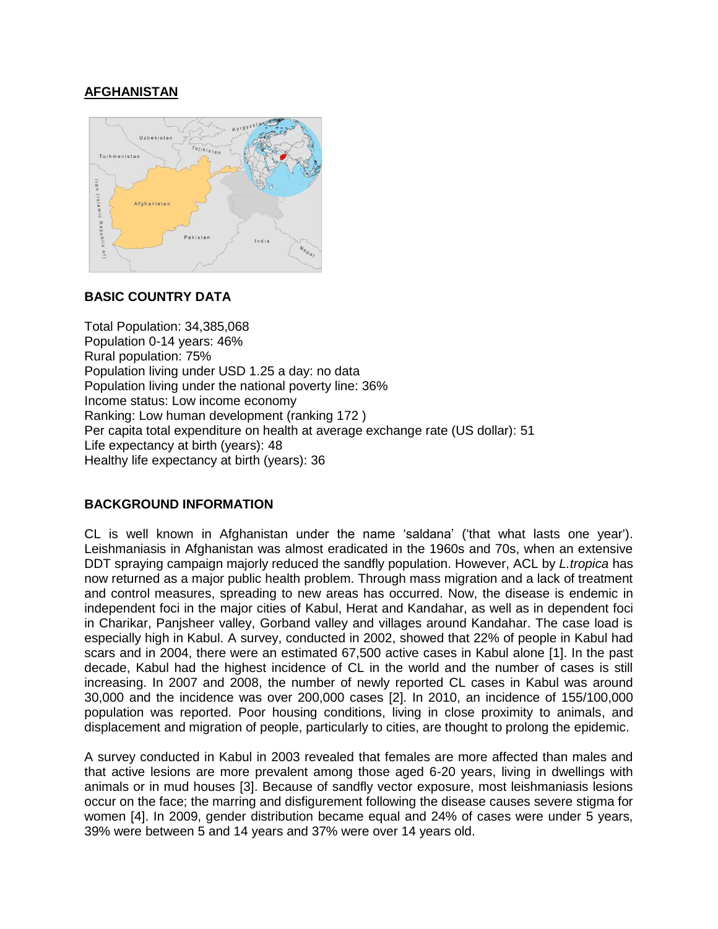# **AFGHANISTAN**



### **BASIC COUNTRY DATA**

Total Population: 34,385,068 Population 0-14 years: 46% Rural population: 75% Population living under USD 1.25 a day: no data Population living under the national poverty line: 36% Income status: Low income economy Ranking: Low human development (ranking 172 ) Per capita total expenditure on health at average exchange rate (US dollar): 51 Life expectancy at birth (years): 48 Healthy life expectancy at birth (years): 36

### **BACKGROUND INFORMATION**

CL is well known in Afghanistan under the name 'saldana' ('that what lasts one year'). Leishmaniasis in Afghanistan was almost eradicated in the 1960s and 70s, when an extensive DDT spraying campaign majorly reduced the sandfly population. However, ACL by *L.tropica* has now returned as a major public health problem. Through mass migration and a lack of treatment and control measures, spreading to new areas has occurred. Now, the disease is endemic in independent foci in the major cities of Kabul, Herat and Kandahar, as well as in dependent foci in Charikar, Panjsheer valley, Gorband valley and villages around Kandahar. The case load is especially high in Kabul. A survey, conducted in 2002, showed that 22% of people in Kabul had scars and in 2004, there were an estimated 67,500 active cases in Kabul alone [1]. In the past decade, Kabul had the highest incidence of CL in the world and the number of cases is still increasing. In 2007 and 2008, the number of newly reported CL cases in Kabul was around 30,000 and the incidence was over 200,000 cases [2]. In 2010, an incidence of 155/100,000 population was reported. Poor housing conditions, living in close proximity to animals, and displacement and migration of people, particularly to cities, are thought to prolong the epidemic.

A survey conducted in Kabul in 2003 revealed that females are more affected than males and that active lesions are more prevalent among those aged 6-20 years, living in dwellings with animals or in mud houses [3]. Because of sandfly vector exposure, most leishmaniasis lesions occur on the face; the marring and disfigurement following the disease causes severe stigma for women [4]. In 2009, gender distribution became equal and 24% of cases were under 5 years, 39% were between 5 and 14 years and 37% were over 14 years old.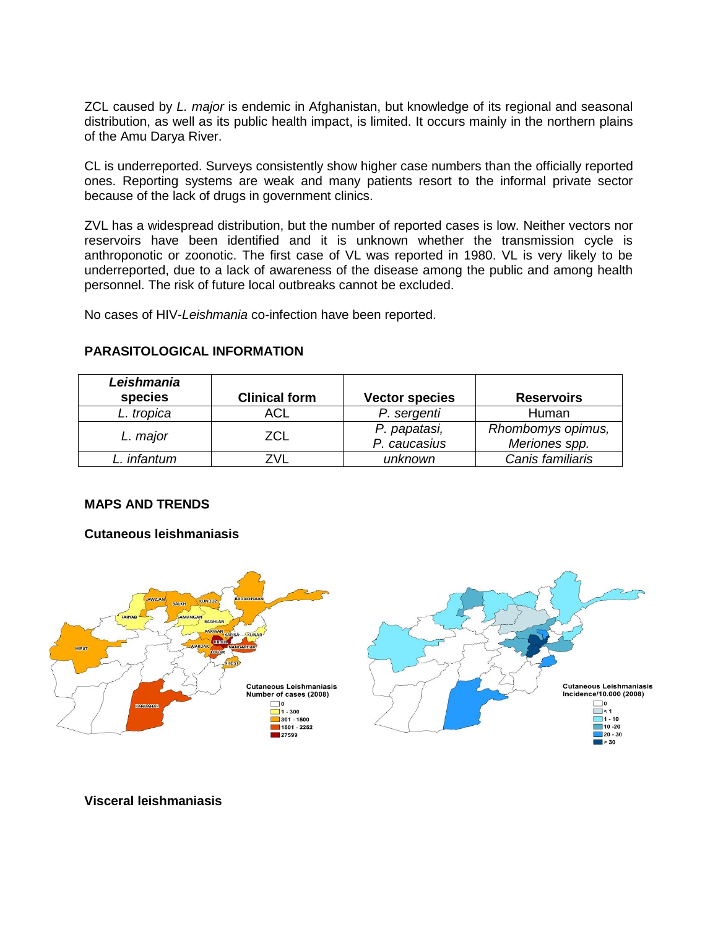ZCL caused by *L. major* is endemic in Afghanistan, but knowledge of its regional and seasonal distribution, as well as its public health impact, is limited. It occurs mainly in the northern plains of the Amu Darya River.

CL is underreported. Surveys consistently show higher case numbers than the officially reported ones. Reporting systems are weak and many patients resort to the informal private sector because of the lack of drugs in government clinics.

ZVL has a widespread distribution, but the number of reported cases is low. Neither vectors nor reservoirs have been identified and it is unknown whether the transmission cycle is anthroponotic or zoonotic. The first case of VL was reported in 1980. VL is very likely to be underreported, due to a lack of awareness of the disease among the public and among health personnel. The risk of future local outbreaks cannot be excluded.

No cases of HIV-*Leishmania* co-infection have been reported.

| Leishmania<br>species | <b>Clinical form</b> | <b>Vector species</b> | <b>Reservoirs</b> |
|-----------------------|----------------------|-----------------------|-------------------|
| L. tropica            | ACL                  | P. sergenti           | Human             |
| L. major              | ZCL                  | P. papatasi,          | Rhombomys opimus, |
|                       |                      | P. caucasius          | Meriones spp.     |
| infantum              |                      | unknown               | Canis familiaris  |

#### **PARASITOLOGICAL INFORMATION**

### **MAPS AND TRENDS**

#### **Cutaneous leishmaniasis**



### **Visceral leishmaniasis**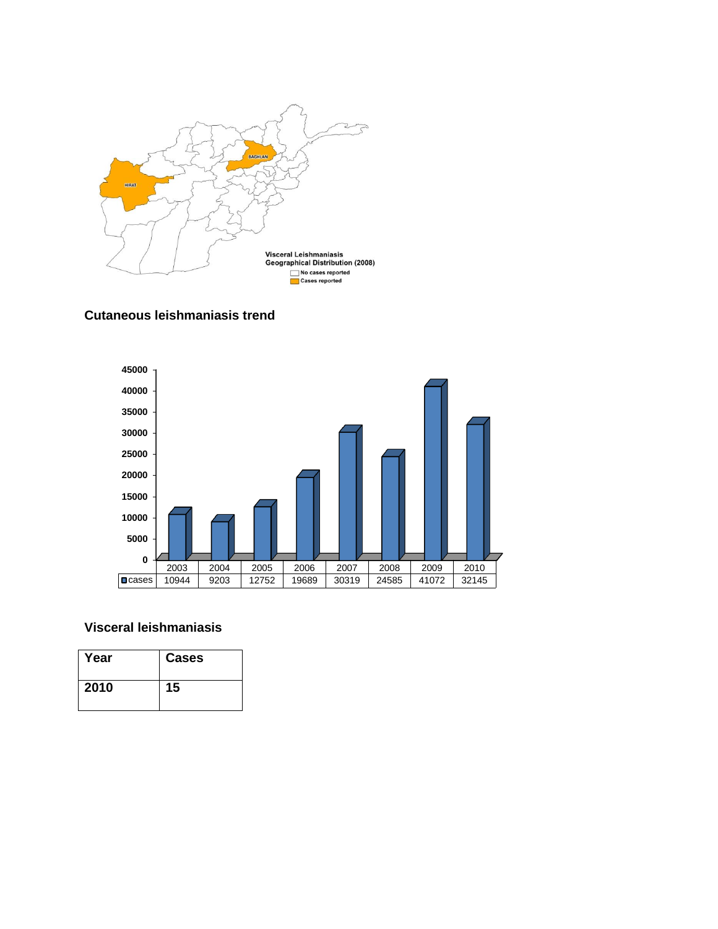





## **Visceral leishmaniasis**

| Year | <b>Cases</b> |
|------|--------------|
| 2010 | 15           |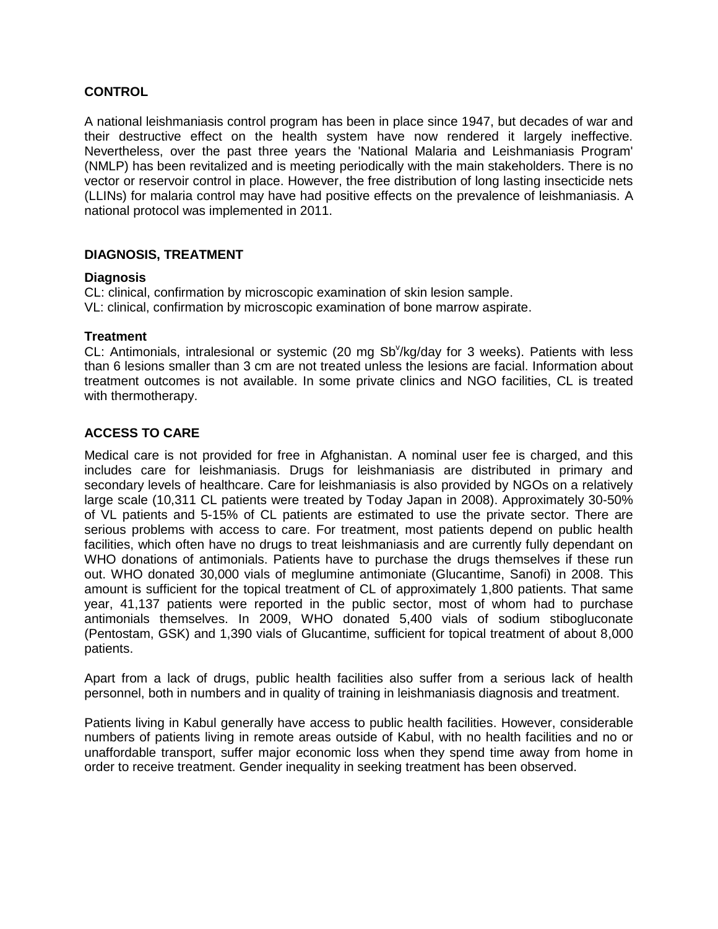#### **CONTROL**

A national leishmaniasis control program has been in place since 1947, but decades of war and their destructive effect on the health system have now rendered it largely ineffective. Nevertheless, over the past three years the 'National Malaria and Leishmaniasis Program' (NMLP) has been revitalized and is meeting periodically with the main stakeholders. There is no vector or reservoir control in place. However, the free distribution of long lasting insecticide nets (LLINs) for malaria control may have had positive effects on the prevalence of leishmaniasis. A national protocol was implemented in 2011.

#### **DIAGNOSIS, TREATMENT**

#### **Diagnosis**

CL: clinical, confirmation by microscopic examination of skin lesion sample. VL: clinical, confirmation by microscopic examination of bone marrow aspirate.

#### **Treatment**

CL: Antimonials, intralesional or systemic (20 mg Sb<sup>y</sup>/kg/day for 3 weeks). Patients with less than 6 lesions smaller than 3 cm are not treated unless the lesions are facial. Information about treatment outcomes is not available. In some private clinics and NGO facilities, CL is treated with thermotherapy.

## **ACCESS TO CARE**

Medical care is not provided for free in Afghanistan. A nominal user fee is charged, and this includes care for leishmaniasis. Drugs for leishmaniasis are distributed in primary and secondary levels of healthcare. Care for leishmaniasis is also provided by NGOs on a relatively large scale (10,311 CL patients were treated by Today Japan in 2008). Approximately 30-50% of VL patients and 5-15% of CL patients are estimated to use the private sector. There are serious problems with access to care. For treatment, most patients depend on public health facilities, which often have no drugs to treat leishmaniasis and are currently fully dependant on WHO donations of antimonials. Patients have to purchase the drugs themselves if these run out. WHO donated 30,000 vials of meglumine antimoniate (Glucantime, Sanofi) in 2008. This amount is sufficient for the topical treatment of CL of approximately 1,800 patients. That same year, 41,137 patients were reported in the public sector, most of whom had to purchase antimonials themselves. In 2009, WHO donated 5,400 vials of sodium stibogluconate (Pentostam, GSK) and 1,390 vials of Glucantime, sufficient for topical treatment of about 8,000 patients.

Apart from a lack of drugs, public health facilities also suffer from a serious lack of health personnel, both in numbers and in quality of training in leishmaniasis diagnosis and treatment.

Patients living in Kabul generally have access to public health facilities. However, considerable numbers of patients living in remote areas outside of Kabul, with no health facilities and no or unaffordable transport, suffer major economic loss when they spend time away from home in order to receive treatment. Gender inequality in seeking treatment has been observed.